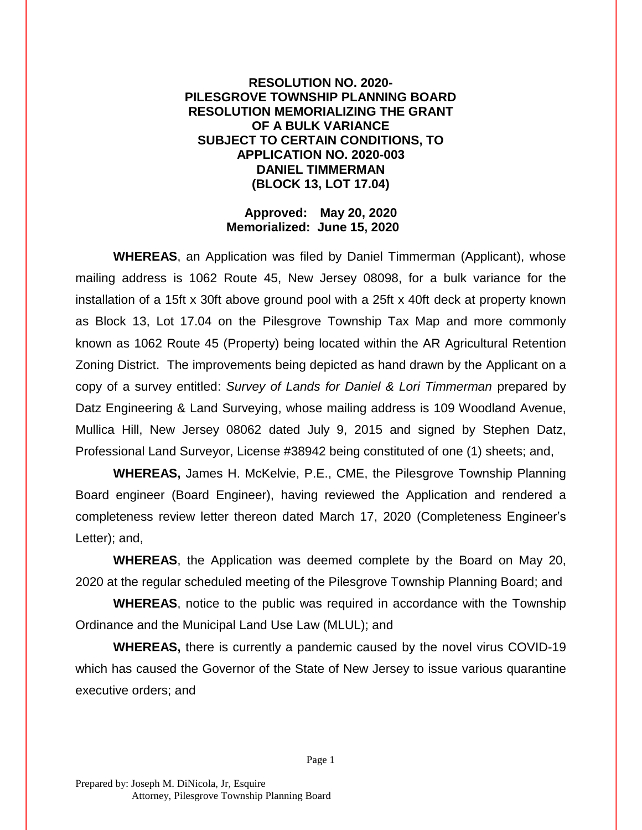## **RESOLUTION NO. 2020- PILESGROVE TOWNSHIP PLANNING BOARD RESOLUTION MEMORIALIZING THE GRANT OF A BULK VARIANCE SUBJECT TO CERTAIN CONDITIONS, TO APPLICATION NO. 2020-003 DANIEL TIMMERMAN (BLOCK 13, LOT 17.04)**

## **Approved: May 20, 2020 Memorialized: June 15, 2020**

**WHEREAS**, an Application was filed by Daniel Timmerman (Applicant), whose mailing address is 1062 Route 45, New Jersey 08098, for a bulk variance for the installation of a 15ft x 30ft above ground pool with a 25ft x 40ft deck at property known as Block 13, Lot 17.04 on the Pilesgrove Township Tax Map and more commonly known as 1062 Route 45 (Property) being located within the AR Agricultural Retention Zoning District. The improvements being depicted as hand drawn by the Applicant on a copy of a survey entitled: *Survey of Lands for Daniel & Lori Timmerman* prepared by Datz Engineering & Land Surveying, whose mailing address is 109 Woodland Avenue, Mullica Hill, New Jersey 08062 dated July 9, 2015 and signed by Stephen Datz, Professional Land Surveyor, License #38942 being constituted of one (1) sheets; and,

**WHEREAS,** James H. McKelvie, P.E., CME, the Pilesgrove Township Planning Board engineer (Board Engineer), having reviewed the Application and rendered a completeness review letter thereon dated March 17, 2020 (Completeness Engineer's Letter); and,

**WHEREAS**, the Application was deemed complete by the Board on May 20, 2020 at the regular scheduled meeting of the Pilesgrove Township Planning Board; and

**WHEREAS**, notice to the public was required in accordance with the Township Ordinance and the Municipal Land Use Law (MLUL); and

**WHEREAS,** there is currently a pandemic caused by the novel virus COVID-19 which has caused the Governor of the State of New Jersey to issue various quarantine executive orders; and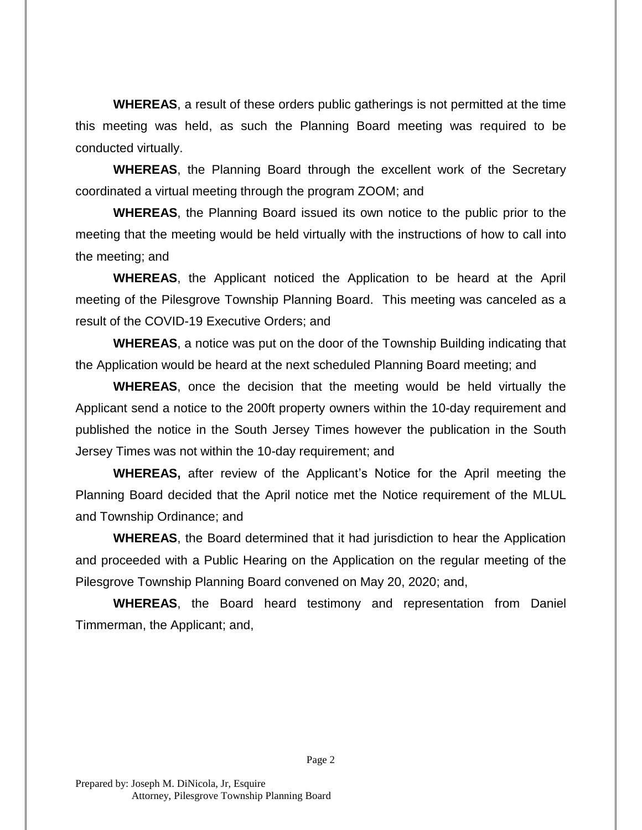**WHEREAS**, a result of these orders public gatherings is not permitted at the time this meeting was held, as such the Planning Board meeting was required to be conducted virtually.

**WHEREAS**, the Planning Board through the excellent work of the Secretary coordinated a virtual meeting through the program ZOOM; and

**WHEREAS**, the Planning Board issued its own notice to the public prior to the meeting that the meeting would be held virtually with the instructions of how to call into the meeting; and

**WHEREAS**, the Applicant noticed the Application to be heard at the April meeting of the Pilesgrove Township Planning Board. This meeting was canceled as a result of the COVID-19 Executive Orders; and

**WHEREAS**, a notice was put on the door of the Township Building indicating that the Application would be heard at the next scheduled Planning Board meeting; and

**WHEREAS**, once the decision that the meeting would be held virtually the Applicant send a notice to the 200ft property owners within the 10-day requirement and published the notice in the South Jersey Times however the publication in the South Jersey Times was not within the 10-day requirement; and

**WHEREAS,** after review of the Applicant's Notice for the April meeting the Planning Board decided that the April notice met the Notice requirement of the MLUL and Township Ordinance; and

**WHEREAS**, the Board determined that it had jurisdiction to hear the Application and proceeded with a Public Hearing on the Application on the regular meeting of the Pilesgrove Township Planning Board convened on May 20, 2020; and,

**WHEREAS**, the Board heard testimony and representation from Daniel Timmerman, the Applicant; and,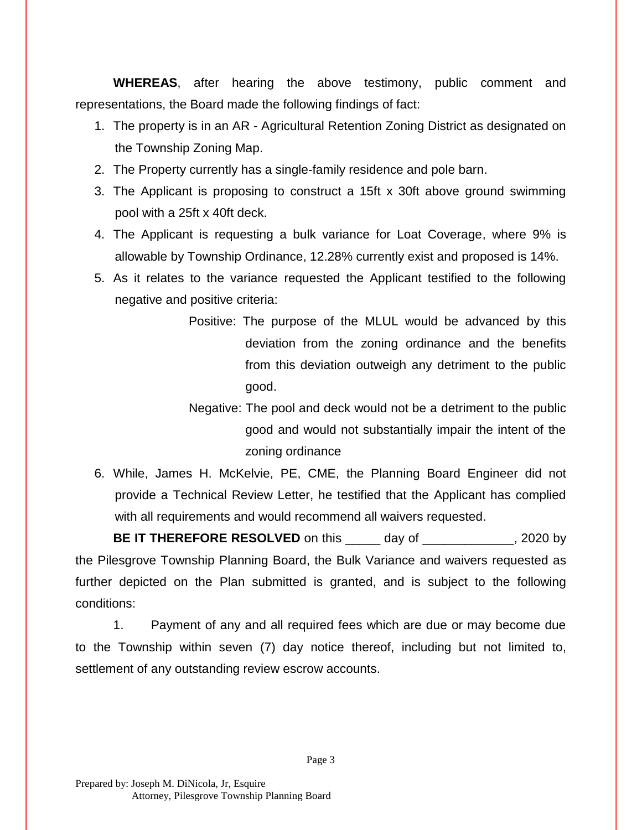**WHEREAS**, after hearing the above testimony, public comment and representations, the Board made the following findings of fact:

- 1. The property is in an AR Agricultural Retention Zoning District as designated on the Township Zoning Map.
- 2. The Property currently has a single-family residence and pole barn.
- 3. The Applicant is proposing to construct a 15ft x 30ft above ground swimming pool with a 25ft x 40ft deck.
- 4. The Applicant is requesting a bulk variance for Loat Coverage, where 9% is allowable by Township Ordinance, 12.28% currently exist and proposed is 14%.
- 5. As it relates to the variance requested the Applicant testified to the following negative and positive criteria:
	- Positive: The purpose of the MLUL would be advanced by this deviation from the zoning ordinance and the benefits from this deviation outweigh any detriment to the public good.
	- Negative: The pool and deck would not be a detriment to the public good and would not substantially impair the intent of the zoning ordinance
- 6. While, James H. McKelvie, PE, CME, the Planning Board Engineer did not provide a Technical Review Letter, he testified that the Applicant has complied with all requirements and would recommend all waivers requested.

**BE IT THEREFORE RESOLVED** on this \_\_\_\_\_ day of \_\_\_\_\_\_\_\_\_\_\_\_, 2020 by the Pilesgrove Township Planning Board, the Bulk Variance and waivers requested as further depicted on the Plan submitted is granted, and is subject to the following conditions:

1. Payment of any and all required fees which are due or may become due to the Township within seven (7) day notice thereof, including but not limited to, settlement of any outstanding review escrow accounts.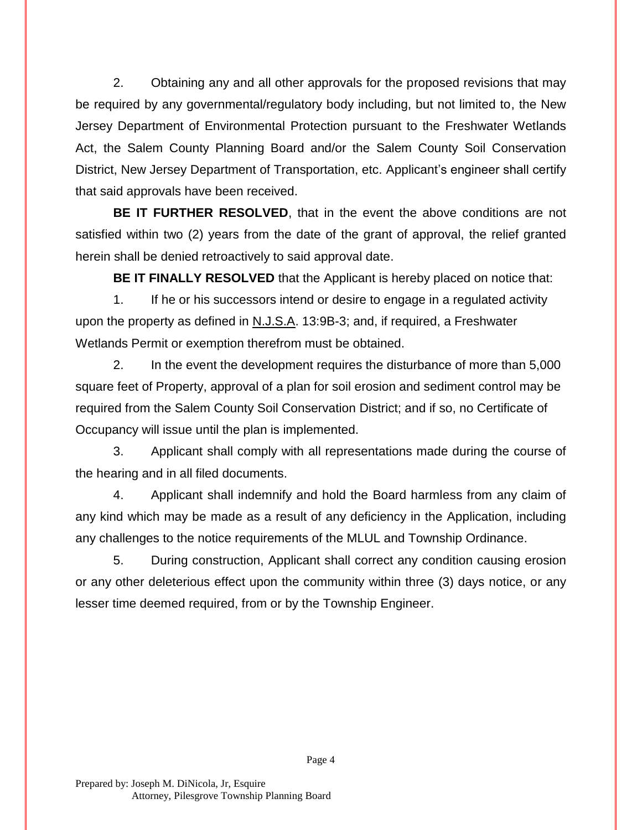2. Obtaining any and all other approvals for the proposed revisions that may be required by any governmental/regulatory body including, but not limited to, the New Jersey Department of Environmental Protection pursuant to the Freshwater Wetlands Act, the Salem County Planning Board and/or the Salem County Soil Conservation District, New Jersey Department of Transportation, etc. Applicant's engineer shall certify that said approvals have been received.

**BE IT FURTHER RESOLVED**, that in the event the above conditions are not satisfied within two (2) years from the date of the grant of approval, the relief granted herein shall be denied retroactively to said approval date.

**BE IT FINALLY RESOLVED** that the Applicant is hereby placed on notice that:

1. If he or his successors intend or desire to engage in a regulated activity upon the property as defined in N.J.S.A. 13:9B-3; and, if required, a Freshwater Wetlands Permit or exemption therefrom must be obtained.

2. In the event the development requires the disturbance of more than 5,000 square feet of Property, approval of a plan for soil erosion and sediment control may be required from the Salem County Soil Conservation District; and if so, no Certificate of Occupancy will issue until the plan is implemented.

3. Applicant shall comply with all representations made during the course of the hearing and in all filed documents.

4. Applicant shall indemnify and hold the Board harmless from any claim of any kind which may be made as a result of any deficiency in the Application, including any challenges to the notice requirements of the MLUL and Township Ordinance.

5. During construction, Applicant shall correct any condition causing erosion or any other deleterious effect upon the community within three (3) days notice, or any lesser time deemed required, from or by the Township Engineer.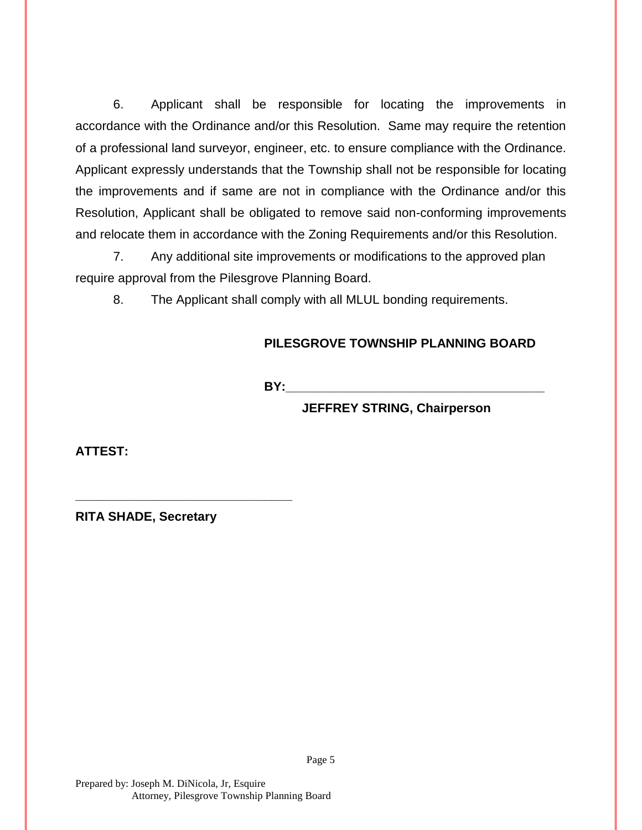6. Applicant shall be responsible for locating the improvements in accordance with the Ordinance and/or this Resolution. Same may require the retention of a professional land surveyor, engineer, etc. to ensure compliance with the Ordinance. Applicant expressly understands that the Township shall not be responsible for locating the improvements and if same are not in compliance with the Ordinance and/or this Resolution, Applicant shall be obligated to remove said non-conforming improvements and relocate them in accordance with the Zoning Requirements and/or this Resolution.

7. Any additional site improvements or modifications to the approved plan require approval from the Pilesgrove Planning Board.

8. The Applicant shall comply with all MLUL bonding requirements.

## **PILESGROVE TOWNSHIP PLANNING BOARD**

**BY:** 

**JEFFREY STRING, Chairperson**

**ATTEST:**

**RITA SHADE, Secretary**

**\_\_\_\_\_\_\_\_\_\_\_\_\_\_\_\_\_\_\_\_\_\_\_\_\_\_\_\_\_\_\_**